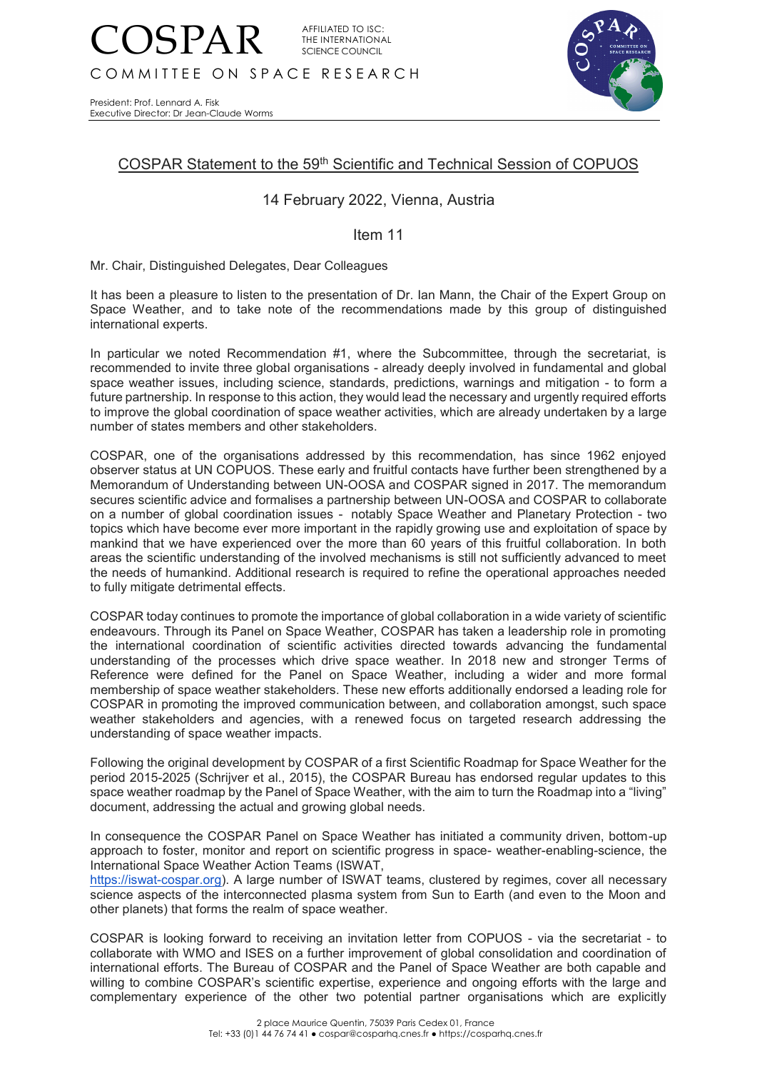

President: Prof. Lennard A. Fisk Executive Director: Dr Jean-Claude Worms



## COSPAR Statement to the 59th Scientific and Technical Session of COPUOS

## 14 February 2022, Vienna, Austria

## Item 11

Mr. Chair, Distinguished Delegates, Dear Colleagues

It has been a pleasure to listen to the presentation of Dr. Ian Mann, the Chair of the Expert Group on Space Weather, and to take note of the recommendations made by this group of distinguished international experts.

In particular we noted Recommendation #1, where the Subcommittee, through the secretariat, is recommended to invite three global organisations - already deeply involved in fundamental and global space weather issues, including science, standards, predictions, warnings and mitigation - to form a future partnership. In response to this action, they would lead the necessary and urgently required efforts to improve the global coordination of space weather activities, which are already undertaken by a large number of states members and other stakeholders.

COSPAR, one of the organisations addressed by this recommendation, has since 1962 enjoyed observer status at UN COPUOS. These early and fruitful contacts have further been strengthened by a Memorandum of Understanding between UN-OOSA and COSPAR signed in 2017. The memorandum secures scientific advice and formalises a partnership between UN-OOSA and COSPAR to collaborate on a number of global coordination issues - notably Space Weather and Planetary Protection - two topics which have become ever more important in the rapidly growing use and exploitation of space by mankind that we have experienced over the more than 60 years of this fruitful collaboration. In both areas the scientific understanding of the involved mechanisms is still not sufficiently advanced to meet the needs of humankind. Additional research is required to refine the operational approaches needed to fully mitigate detrimental effects.

COSPAR today continues to promote the importance of global collaboration in a wide variety of scientific endeavours. Through its Panel on Space Weather, COSPAR has taken a leadership role in promoting the international coordination of scientific activities directed towards advancing the fundamental understanding of the processes which drive space weather. In 2018 new and stronger Terms of Reference were defined for the Panel on Space Weather, including a wider and more formal membership of space weather stakeholders. These new efforts additionally endorsed a leading role for COSPAR in promoting the improved communication between, and collaboration amongst, such space weather stakeholders and agencies, with a renewed focus on targeted research addressing the understanding of space weather impacts.

Following the original development by COSPAR of a first Scientific Roadmap for Space Weather for the period 2015-2025 (Schrijver et al., 2015), the COSPAR Bureau has endorsed regular updates to this space weather roadmap by the Panel of Space Weather, with the aim to turn the Roadmap into a "living" document, addressing the actual and growing global needs.

In consequence the COSPAR Panel on Space Weather has initiated a community driven, bottom-up approach to foster, monitor and report on scientific progress in space- weather-enabling-science, the International Space Weather Action Teams (ISWAT,

[https://iswat-cospar.org\)](https://iswat-cospar.org/). A large number of ISWAT teams, clustered by regimes, cover all necessary science aspects of the interconnected plasma system from Sun to Earth (and even to the Moon and other planets) that forms the realm of space weather.

COSPAR is looking forward to receiving an invitation letter from COPUOS - via the secretariat - to collaborate with WMO and ISES on a further improvement of global consolidation and coordination of international efforts. The Bureau of COSPAR and the Panel of Space Weather are both capable and willing to combine COSPAR's scientific expertise, experience and ongoing efforts with the large and complementary experience of the other two potential partner organisations which are explicitly